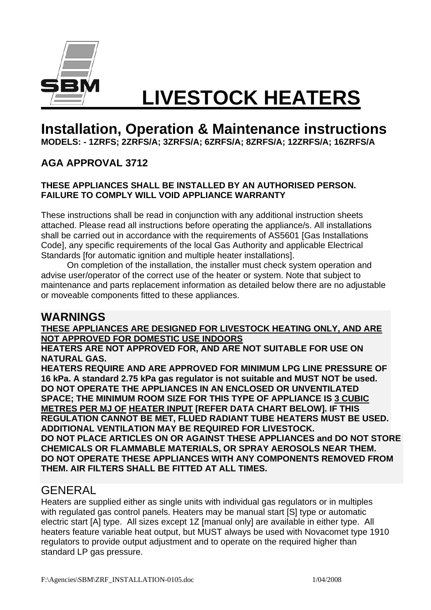

# **LIVESTOCK HEATERS**

## **Installation, Operation & Maintenance instructions**

**MODELS: - 1ZRFS; 2ZRFS/A; 3ZRFS/A; 6ZRFS/A; 8ZRFS/A; 12ZRFS/A; 16ZRFS/A** 

### **AGA APPROVAL 3712**

#### **THESE APPLIANCES SHALL BE INSTALLED BY AN AUTHORISED PERSON. FAILURE TO COMPLY WILL VOID APPLIANCE WARRANTY**

These instructions shall be read in conjunction with any additional instruction sheets attached. Please read all instructions before operating the appliance/s. All installations shall be carried out in accordance with the requirements of AS5601 [Gas Installations Code], any specific requirements of the local Gas Authority and applicable Electrical Standards [for automatic ignition and multiple heater installations].

On completion of the installation, the installer must check system operation and advise user/operator of the correct use of the heater or system. Note that subject to maintenance and parts replacement information as detailed below there are no adjustable or moveable components fitted to these appliances.

## **WARNINGS**

**THESE APPLIANCES ARE DESIGNED FOR LIVESTOCK HEATING ONLY, AND ARE NOT APPROVED FOR DOMESTIC USE INDOORS** 

**HEATERS ARE NOT APPROVED FOR, AND ARE NOT SUITABLE FOR USE ON NATURAL GAS.** 

**HEATERS REQUIRE AND ARE APPROVED FOR MINIMUM LPG LINE PRESSURE OF 16 kPa. A standard 2.75 kPa gas regulator is not suitable and MUST NOT be used. DO NOT OPERATE THE APPLIANCES IN AN ENCLOSED OR UNVENTILATED SPACE; THE MINIMUM ROOM SIZE FOR THIS TYPE OF APPLIANCE IS 3 CUBIC METRES PER MJ OF HEATER INPUT [REFER DATA CHART BELOW]. IF THIS REGULATION CANNOT BE MET, FLUED RADIANT TUBE HEATERS MUST BE USED. ADDITIONAL VENTILATION MAY BE REQUIRED FOR LIVESTOCK. DO NOT PLACE ARTICLES ON OR AGAINST THESE APPLIANCES and DO NOT STORE CHEMICALS OR FLAMMABLE MATERIALS, OR SPRAY AEROSOLS NEAR THEM. DO NOT OPERATE THESE APPLIANCES WITH ANY COMPONENTS REMOVED FROM THEM. AIR FILTERS SHALL BE FITTED AT ALL TIMES.** 

## **GENERAL**

Heaters are supplied either as single units with individual gas regulators or in multiples with regulated gas control panels. Heaters may be manual start [S] type or automatic electric start [A] type. All sizes except 1Z [manual only] are available in either type. All heaters feature variable heat output, but MUST always be used with Novacomet type 1910 regulators to provide output adjustment and to operate on the required higher than standard LP gas pressure.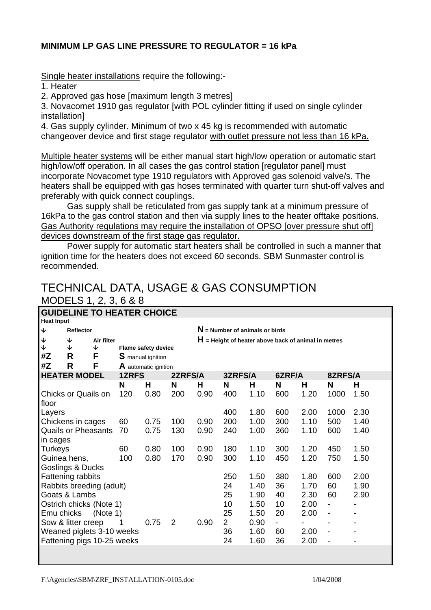#### **MINIMUM LP GAS LINE PRESSURE TO REGULATOR = 16 kPa**

Single heater installations require the following:-

1. Heater

2. Approved gas hose [maximum length 3 metres]

3. Novacomet 1910 gas regulator [with POL cylinder fitting if used on single cylinder installation]

4. Gas supply cylinder. Minimum of two x 45 kg is recommended with automatic changeover device and first stage regulator with outlet pressure not less than 16 kPa.

Multiple heater systems will be either manual start high/low operation or automatic start high/low/off operation. In all cases the gas control station [regulator panel] must incorporate Novacomet type 1910 regulators with Approved gas solenoid valve/s. The heaters shall be equipped with gas hoses terminated with quarter turn shut-off valves and preferably with quick connect couplings.

 Gas supply shall be reticulated from gas supply tank at a minimum pressure of 16kPa to the gas control station and then via supply lines to the heater offtake positions. Gas Authority regulations may require the installation of OPSO [over pressure shut off] devices downstream of the first stage gas regulator.

 Power supply for automatic start heaters shall be controlled in such a manner that ignition time for the heaters does not exceed 60 seconds. SBM Sunmaster control is recommended.

## TECHNICAL DATA, USAGE & GAS CONSUMPTION MODELS 1, 2, 3, 6 & 8

| <b>GUIDELINE TO HEATER CHOICE</b> |                            |            |                          |                            |                                  |                |                                                       |                |        |                          |         |      |  |
|-----------------------------------|----------------------------|------------|--------------------------|----------------------------|----------------------------------|----------------|-------------------------------------------------------|----------------|--------|--------------------------|---------|------|--|
| <b>Heat Input</b>                 |                            |            |                          |                            |                                  |                |                                                       |                |        |                          |         |      |  |
| $\blacklozenge$                   | <b>Reflector</b>           |            |                          |                            | $N$ = Number of animals or birds |                |                                                       |                |        |                          |         |      |  |
| $\downarrow$                      | ↓                          | Air filter |                          |                            |                                  |                | $H$ = Height of heater above back of animal in metres |                |        |                          |         |      |  |
| $\overline{\mathbf{V}}$           | ↓                          | ↓          |                          | <b>Flame safety device</b> |                                  |                |                                                       |                |        |                          |         |      |  |
| #Z                                | R                          | F          | <b>S</b> manual ignition |                            |                                  |                |                                                       |                |        |                          |         |      |  |
| #Z                                | R                          | F          |                          | A automatic ignition       |                                  |                |                                                       |                |        |                          |         |      |  |
|                                   | <b>HEATER MODEL</b>        |            | <b>1ZRFS</b>             |                            | 2ZRFS/A                          | 3ZRFS/A        |                                                       |                | 6ZRF/A |                          | 8ZRFS/A |      |  |
|                                   |                            |            | N                        | н                          | N                                | Н              | N                                                     | н              | N      | Н                        | N       | н    |  |
|                                   | <b>Chicks or Quails on</b> |            | 120                      | 0.80                       | 200                              | 0.90           | 400                                                   | 1.10           | 600    | 1.20                     | 1000    | 1.50 |  |
| floor                             |                            |            |                          |                            |                                  |                |                                                       |                |        |                          |         |      |  |
| Layers                            |                            |            |                          |                            |                                  |                | 400                                                   | 1.80           | 600    | 2.00                     | 1000    | 2.30 |  |
|                                   | Chickens in cages          |            | 60                       | 0.75                       | 100                              | 0.90           | 200                                                   | 1.00           | 300    | 1.10                     | 500     | 1.40 |  |
| <b>Quails or Pheasants</b><br>70  |                            |            | 0.75                     | 130                        | 0.90                             | 240            | 1.00                                                  | 360            | 1.10   | 600                      | 1.40    |      |  |
| in cages                          |                            |            |                          |                            |                                  |                |                                                       |                |        |                          |         |      |  |
| <b>Turkeys</b>                    |                            |            | 60                       | 0.80                       | 100                              | 0.90           | 180                                                   | 1.10           | 300    | 1.20                     | 450     | 1.50 |  |
| 100<br>Guinea hens,               |                            |            |                          | 0.80                       | 170                              | 0.90           | 300                                                   | 1.10           | 450    | 1.20                     | 750     | 1.50 |  |
|                                   | Goslings & Ducks           |            |                          |                            |                                  |                |                                                       |                |        |                          |         |      |  |
|                                   | Fattening rabbits          |            |                          |                            |                                  |                | 250                                                   | 1.50           | 380    | 1.80                     | 600     | 2.00 |  |
|                                   | Rabbits breeding (adult)   |            |                          |                            |                                  |                | 24                                                    | 1.40           | 36     | 1.70                     | 60      | 1.90 |  |
|                                   | Goats & Lambs              |            |                          |                            |                                  |                | 25                                                    | 1.90           | 40     | 2.30                     | 60      | 2.90 |  |
| Ostrich chicks (Note 1)           |                            |            |                          |                            |                                  | 10             | 1.50                                                  | 10             | 2.00   | $\overline{\phantom{0}}$ |         |      |  |
| Emu chicks<br>(Note 1)            |                            |            |                          |                            |                                  | 25             | 1.50                                                  | 20             | 2.00   | $\overline{\phantom{0}}$ |         |      |  |
| Sow & litter creep                |                            |            | 0.75                     | $\overline{2}$             | 0.90                             | $\overline{2}$ | 0.90                                                  | $\blacksquare$ |        | -                        |         |      |  |
| Weaned piglets 3-10 weeks         |                            |            |                          |                            |                                  | 36             | 1.60                                                  | 60             | 2.00   |                          |         |      |  |
|                                   | Fattening pigs 10-25 weeks |            |                          |                            |                                  |                | 24                                                    | 1.60           | 36     | 2.00                     |         |      |  |
|                                   |                            |            |                          |                            |                                  |                |                                                       |                |        |                          |         |      |  |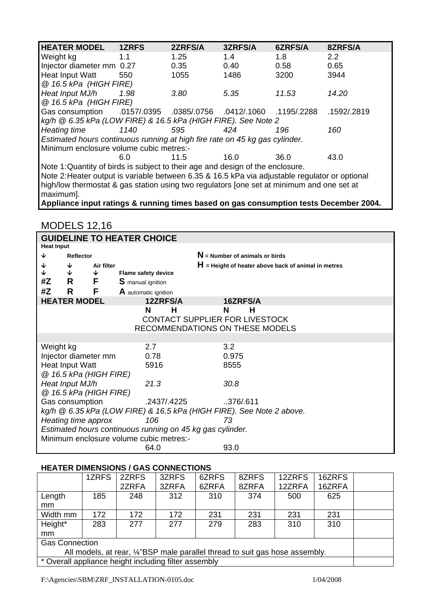| <b>HEATER MODEL</b>                                                                                    | 1ZRFS                                                                 | 2ZRFS/A     | 3ZRFS/A     | 6ZRFS/A          | 8ZRFS/A       |  |  |  |  |
|--------------------------------------------------------------------------------------------------------|-----------------------------------------------------------------------|-------------|-------------|------------------|---------------|--|--|--|--|
| Weight kg                                                                                              | 1.1                                                                   | 1.25        | 1.4         | 1.8 <sup>1</sup> | $2.2^{\circ}$ |  |  |  |  |
| Injector diameter mm 0.27                                                                              |                                                                       | 0.35        | 0.40        | 0.58             | 0.65          |  |  |  |  |
| Heat Input Watt                                                                                        | 550                                                                   | 1055        | 1486        | 3200             | 3944          |  |  |  |  |
| @ 16.5 kPa (HIGH FIRE)                                                                                 |                                                                       |             |             |                  |               |  |  |  |  |
| Heat Input MJ/h                                                                                        | 1.98                                                                  | 3.80        | 5.35        | 11.53            | 14.20         |  |  |  |  |
| @ 16.5 kPa (HIGH FIRE)                                                                                 |                                                                       |             |             |                  |               |  |  |  |  |
| Gas consumption .0157/.0395                                                                            |                                                                       | .0385/.0756 | .0412/.1060 | .1195/.2288      | .1592/.2819   |  |  |  |  |
|                                                                                                        | $kg/h \otimes 6.35 kPa$ (LOW FIRE) & 16.5 kPa (HIGH FIRE). See Note 2 |             |             |                  |               |  |  |  |  |
| <b>Heating time</b>                                                                                    | 1140                                                                  | 595         | 424         | 196              | 160           |  |  |  |  |
| Estimated hours continuous running at high fire rate on 45 kg gas cylinder.                            |                                                                       |             |             |                  |               |  |  |  |  |
| Minimum enclosure volume cubic metres:-                                                                |                                                                       |             |             |                  |               |  |  |  |  |
|                                                                                                        | 6.0                                                                   | 11.5        | 16.0        | 36.0             | 43.0          |  |  |  |  |
| Note 1: Quantity of birds is subject to their age and design of the enclosure.                         |                                                                       |             |             |                  |               |  |  |  |  |
| Note 2: Heater output is variable between 6.35 & 16.5 kPa via adjustable regulator or optional         |                                                                       |             |             |                  |               |  |  |  |  |
| high/low thermostat & gas station using two regulators [one set at minimum and one set at<br>maximum]. |                                                                       |             |             |                  |               |  |  |  |  |

**Appliance input ratings & running times based on gas consumption tests December 2004.** 

#### MODELS 12,16

|                                                                      | <b>GUIDELINE TO HEATER CHOICE</b> |              |                            |                                                       |  |  |  |  |  |
|----------------------------------------------------------------------|-----------------------------------|--------------|----------------------------|-------------------------------------------------------|--|--|--|--|--|
|                                                                      | <b>Heat Input</b>                 |              |                            |                                                       |  |  |  |  |  |
| ↓                                                                    | <b>Reflector</b>                  |              |                            | $N =$ Number of animals or birds                      |  |  |  |  |  |
| ↓                                                                    | ↓                                 | Air filter   |                            | $H$ = Height of heater above back of animal in metres |  |  |  |  |  |
| ↓                                                                    | $\downarrow$                      | $\downarrow$ | <b>Flame safety device</b> |                                                       |  |  |  |  |  |
| #Z                                                                   | R F                               |              | <b>S</b> manual ignition   |                                                       |  |  |  |  |  |
| #Z                                                                   | R                                 | F            | A automatic ignition       |                                                       |  |  |  |  |  |
|                                                                      | <b>HEATER MODEL</b>               |              | 12ZRFS/A                   | 16ZRFS/A                                              |  |  |  |  |  |
|                                                                      |                                   |              | N<br>н                     | N<br>н                                                |  |  |  |  |  |
|                                                                      |                                   |              |                            | CONTACT SUPPLIER FOR LIVESTOCK                        |  |  |  |  |  |
|                                                                      |                                   |              |                            | RECOMMENDATIONS ON THESE MODELS                       |  |  |  |  |  |
|                                                                      |                                   |              |                            |                                                       |  |  |  |  |  |
| Weight kg                                                            |                                   |              | 2.7                        | 3.2                                                   |  |  |  |  |  |
| Injector diameter mm                                                 |                                   |              | 0.78                       | 0.975                                                 |  |  |  |  |  |
| <b>Heat Input Watt</b>                                               |                                   |              | 5916                       | 8555                                                  |  |  |  |  |  |
|                                                                      | @ 16.5 kPa (HIGH FIRE)            |              |                            |                                                       |  |  |  |  |  |
|                                                                      | Heat Input MJ/h                   |              | 21.3                       | 30.8                                                  |  |  |  |  |  |
|                                                                      | @ 16.5 kPa (HIGH FIRE)            |              |                            |                                                       |  |  |  |  |  |
|                                                                      | Gas consumption                   |              | .2437/.4225                | 376/.611                                              |  |  |  |  |  |
| kg/h @ 6.35 kPa (LOW FIRE) & 16.5 kPa (HIGH FIRE). See Note 2 above. |                                   |              |                            |                                                       |  |  |  |  |  |
|                                                                      | Heating time approx               |              | 106                        | 73                                                    |  |  |  |  |  |
| Estimated hours continuous running on 45 kg gas cylinder.            |                                   |              |                            |                                                       |  |  |  |  |  |
| Minimum enclosure volume cubic metres:-                              |                                   |              |                            |                                                       |  |  |  |  |  |
|                                                                      |                                   |              | 64.0                       | 93.0                                                  |  |  |  |  |  |

#### **HEATER DIMENSIONS / GAS CONNECTIONS**

|                                                                              | 1ZRFS | 2ZRFS | 3ZRFS | 6ZRFS | 8ZRFS | 12ZRFS | 16ZRFS |  |
|------------------------------------------------------------------------------|-------|-------|-------|-------|-------|--------|--------|--|
|                                                                              |       | 2ZRFA | 3ZRFA | 6ZRFA | 8ZRFA | 12ZRFA | 16ZRFA |  |
| Length                                                                       | 185   | 248   | 312   | 310   | 374   | 500    | 625    |  |
| mm                                                                           |       |       |       |       |       |        |        |  |
| Width mm                                                                     | 172   | 172   | 172   | 231   | 231   | 231    | 231    |  |
| Height*                                                                      | 283   | 277   | 277   | 279   | 283   | 310    | 310    |  |
| mm                                                                           |       |       |       |       |       |        |        |  |
| <b>Gas Connection</b>                                                        |       |       |       |       |       |        |        |  |
| All models, at rear, 1/4"BSP male parallel thread to suit gas hose assembly. |       |       |       |       |       |        |        |  |
| * Overall appliance height including filter assembly                         |       |       |       |       |       |        |        |  |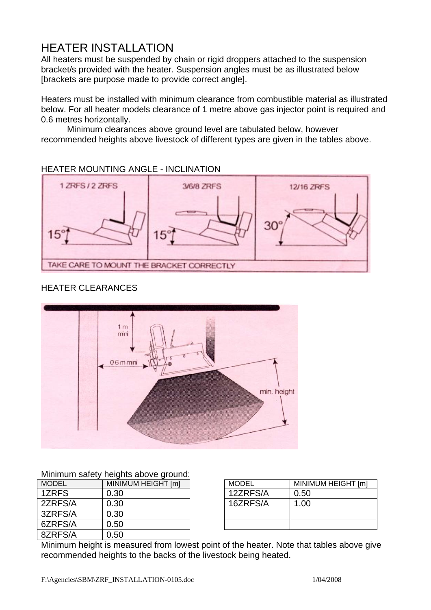## HEATER INSTALLATION

All heaters must be suspended by chain or rigid droppers attached to the suspension bracket/s provided with the heater. Suspension angles must be as illustrated below [brackets are purpose made to provide correct angle].

Heaters must be installed with minimum clearance from combustible material as illustrated below. For all heater models clearance of 1 metre above gas injector point is required and 0.6 metres horizontally.

 Minimum clearances above ground level are tabulated below, however recommended heights above livestock of different types are given in the tables above.

#### HEATER MOUNTING ANGLE - INCLINATION



#### HEATER CLEARANCES



#### Minimum safety heights above ground:

| <b>MODEL</b> | MINIMUM HEIGHT [m] |
|--------------|--------------------|
| 1ZRFS        | 0.30               |
| 2ZRFS/A      | 0.30               |
| 3ZRFS/A      | 0.30               |
| 6ZRFS/A      | 0.50               |
| 8ZRFS/A      | 0.50               |

| <b>MODEL</b> | MINIMUM HEIGHT [m] |
|--------------|--------------------|
| 12ZRFS/A     | 0.50               |
| 16ZRFS/A     | 1.00               |
|              |                    |
|              |                    |

Minimum height is measured from lowest point of the heater. Note that tables above give recommended heights to the backs of the livestock being heated.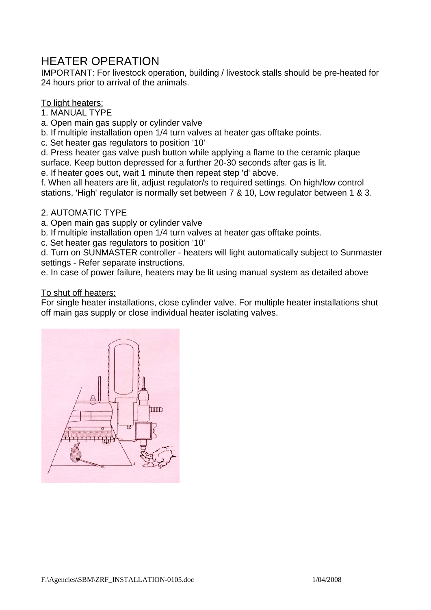## HEATER OPERATION

IMPORTANT: For livestock operation, building / livestock stalls should be pre-heated for 24 hours prior to arrival of the animals.

#### To light heaters:

1. MANUAL TYPE

- a. Open main gas supply or cylinder valve
- b. If multiple installation open 1/4 turn valves at heater gas offtake points.
- c. Set heater gas regulators to position '10'

d. Press heater gas valve push button while applying a flame to the ceramic plaque surface. Keep button depressed for a further 20-30 seconds after gas is lit.

e. If heater goes out, wait 1 minute then repeat step 'd' above.

f. When all heaters are lit, adjust regulator/s to required settings. On high/low control stations, 'High' regulator is normally set between 7 & 10, Low regulator between 1 & 3.

#### 2. AUTOMATIC TYPE

a. Open main gas supply or cylinder valve

b. If multiple installation open 1/4 turn valves at heater gas offtake points.

c. Set heater gas regulators to position '10'

d. Turn on SUNMASTER controller - heaters will light automatically subject to Sunmaster settings - Refer separate instructions.

e. In case of power failure, heaters may be lit using manual system as detailed above

#### To shut off heaters:

For single heater installations, close cylinder valve. For multiple heater installations shut off main gas supply or close individual heater isolating valves.

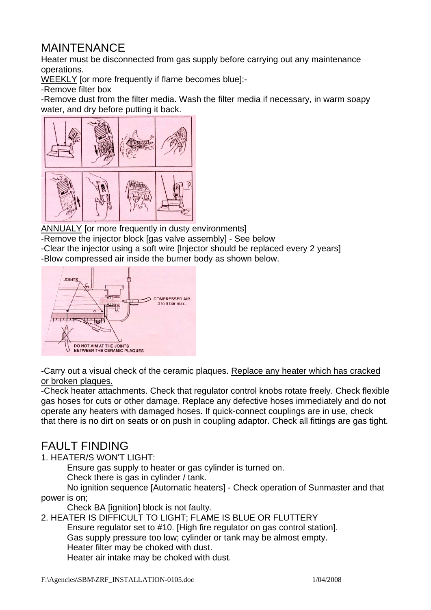## MAINTENANCE

Heater must be disconnected from gas supply before carrying out any maintenance operations.

WEEKLY for more frequently if flame becomes blue]:-

-Remove filter box

-Remove dust from the filter media. Wash the filter media if necessary, in warm soapy water, and dry before putting it back.



ANNUALY [or more frequently in dusty environments]

-Remove the injector block [gas valve assembly] - See below

- -Clear the injector using a soft wire [Injector should be replaced every 2 years]
- -Blow compressed air inside the burner body as shown below.



-Carry out a visual check of the ceramic plaques. Replace any heater which has cracked or broken plaques.

-Check heater attachments. Check that regulator control knobs rotate freely. Check flexible gas hoses for cuts or other damage. Replace any defective hoses immediately and do not operate any heaters with damaged hoses. If quick-connect couplings are in use, check that there is no dirt on seats or on push in coupling adaptor. Check all fittings are gas tight.

## FAULT FINDING

1. HEATER/S WON'T LIGHT:

Ensure gas supply to heater or gas cylinder is turned on.

Check there is gas in cylinder / tank.

 No ignition sequence [Automatic heaters] - Check operation of Sunmaster and that power is on;

Check BA [ignition] block is not faulty.

2. HEATER IS DIFFICULT TO LIGHT; FLAME IS BLUE OR FLUTTERY

Ensure regulator set to #10. [High fire regulator on gas control station].

Gas supply pressure too low; cylinder or tank may be almost empty.

Heater filter may be choked with dust.

Heater air intake may be choked with dust.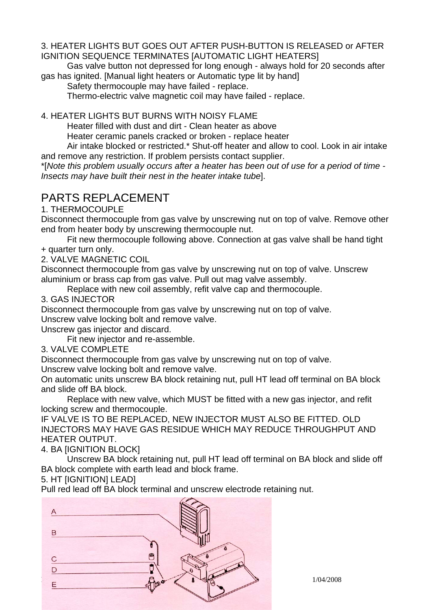#### 3. HEATER LIGHTS BUT GOES OUT AFTER PUSH-BUTTON IS RELEASED or AFTER IGNITION SEQUENCE TERMINATES [AUTOMATIC LIGHT HEATERS]

 Gas valve button not depressed for long enough - always hold for 20 seconds after gas has ignited. [Manual light heaters or Automatic type lit by hand]

Safety thermocouple may have failed - replace.

Thermo-electric valve magnetic coil may have failed - replace.

4. HEATER LIGHTS BUT BURNS WITH NOISY FLAME

Heater filled with dust and dirt - Clean heater as above

Heater ceramic panels cracked or broken - replace heater

 Air intake blocked or restricted.\* Shut-off heater and allow to cool. Look in air intake and remove any restriction. If problem persists contact supplier.

\*[*Note this problem usually occurs after a heater has been out of use for a period of time - Insects may have built their nest in the heater intake tube*].

## PARTS REPLACEMENT

1. THERMOCOUPLE

Disconnect thermocouple from gas valve by unscrewing nut on top of valve. Remove other end from heater body by unscrewing thermocouple nut.

 Fit new thermocouple following above. Connection at gas valve shall be hand tight + quarter turn only.

2. VALVE MAGNETIC COIL

Disconnect thermocouple from gas valve by unscrewing nut on top of valve. Unscrew aluminium or brass cap from gas valve. Pull out mag valve assembly.

Replace with new coil assembly, refit valve cap and thermocouple.

3. GAS INJECTOR

Disconnect thermocouple from gas valve by unscrewing nut on top of valve.

Unscrew valve locking bolt and remove valve.

Unscrew gas injector and discard.

Fit new injector and re-assemble.

3. VALVE COMPLETE

Disconnect thermocouple from gas valve by unscrewing nut on top of valve.

Unscrew valve locking bolt and remove valve.

On automatic units unscrew BA block retaining nut, pull HT lead off terminal on BA block and slide off BA block.

 Replace with new valve, which MUST be fitted with a new gas injector, and refit locking screw and thermocouple.

IF VALVE IS TO BE REPLACED, NEW INJECTOR MUST ALSO BE FITTED. OLD INJECTORS MAY HAVE GAS RESIDUE WHICH MAY REDUCE THROUGHPUT AND HEATER OUTPUT.

4. BA [IGNITION BLOCK]

Unscrew BA block retaining nut, pull HT lead off terminal on BA block and slide off BA block complete with earth lead and block frame.

5. HT [IGNITION] LEAD]

Pull red lead off BA block terminal and unscrew electrode retaining nut.

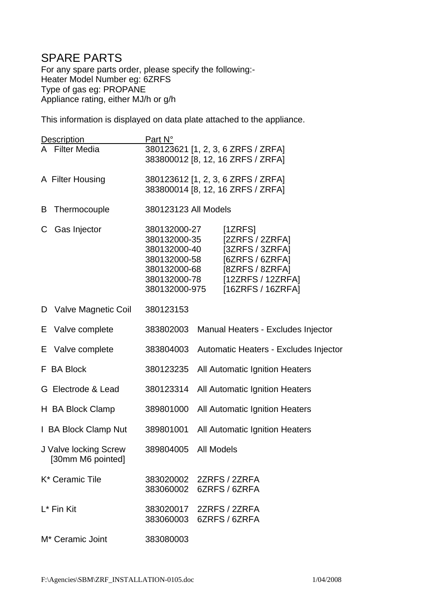## SPARE PARTS

For any spare parts order, please specify the following:- Heater Model Number eg: 6ZRFS Type of gas eg: PROPANE Appliance rating, either MJ/h or g/h

This information is displayed on data plate attached to the appliance.

| <b>Description</b>                         | Part N°                                                                                                       |                                                                                                                             |  |  |  |
|--------------------------------------------|---------------------------------------------------------------------------------------------------------------|-----------------------------------------------------------------------------------------------------------------------------|--|--|--|
| A Filter Media                             | 380123621 [1, 2, 3, 6 ZRFS / ZRFA]<br>383800012 [8, 12, 16 ZRFS / ZRFA]                                       |                                                                                                                             |  |  |  |
| A Filter Housing                           | 380123612 [1, 2, 3, 6 ZRFS / ZRFA]<br>383800014 [8, 12, 16 ZRFS / ZRFA]                                       |                                                                                                                             |  |  |  |
| Thermocouple<br>B                          | 380123123 All Models                                                                                          |                                                                                                                             |  |  |  |
| Gas Injector<br>C                          | 380132000-27<br>380132000-35<br>380132000-40<br>380132000-58<br>380132000-68<br>380132000-78<br>380132000-975 | [1ZRFS]<br>[2ZRFS / 2ZRFA]<br>$[3ZRFS/3ZRFA]$<br>[6ZRFS / 6ZRFA]<br>[8ZRFS / 8ZRFA]<br>[12ZRFS/12ZRFA]<br>[16ZRFS / 16ZRFA] |  |  |  |
| D Valve Magnetic Coil                      | 380123153                                                                                                     |                                                                                                                             |  |  |  |
| E Valve complete                           | 383802003                                                                                                     | Manual Heaters - Excludes Injector                                                                                          |  |  |  |
| E Valve complete                           | 383804003                                                                                                     | Automatic Heaters - Excludes Injector                                                                                       |  |  |  |
| F BA Block                                 | 380123235                                                                                                     | All Automatic Ignition Heaters                                                                                              |  |  |  |
| G Electrode & Lead                         | 380123314                                                                                                     | All Automatic Ignition Heaters                                                                                              |  |  |  |
| H BA Block Clamp                           | 389801000                                                                                                     | All Automatic Ignition Heaters                                                                                              |  |  |  |
| I BA Block Clamp Nut                       | 389801001                                                                                                     | All Automatic Ignition Heaters                                                                                              |  |  |  |
| J Valve locking Screw<br>[30mm M6 pointed] | 389804005 All Models                                                                                          |                                                                                                                             |  |  |  |
| K* Ceramic Tile                            | 383060002                                                                                                     | 383020002 2ZRFS / 2ZRFA<br>6ZRFS / 6ZRFA                                                                                    |  |  |  |
| L <sup>*</sup> Fin Kit                     | 383060003                                                                                                     | 383020017 2ZRFS / 2ZRFA<br>6ZRFS / 6ZRFA                                                                                    |  |  |  |
| M <sup>*</sup> Ceramic Joint               | 383080003                                                                                                     |                                                                                                                             |  |  |  |